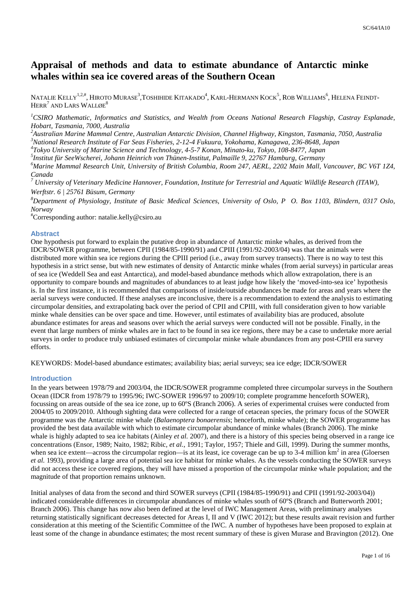# **Appraisal of methods and data to estimate abundance of Antarctic minke whales within sea ice covered areas of the Southern Ocean**

NATALIE KELLY<sup>1,2,#</sup>, HIROTO MURASE<sup>3</sup>,TOSHIHIDE KITAKADO<sup>4</sup>, KARL-HERMANN KOCK<sup>5</sup>, ROB WILLIAMS<sup>6</sup>, HELENA FEINDT- $\rm{HERR}^{7}$  and  $\rm{LARS}$   $\rm{WALL}$ øe $\rm{^{8}}$ 

<sup>1</sup>CSIRO Mathematic, Informatics and Statistics, and Wealth from Oceans National Research Flagship, Castray Esplanade, *Hobart, Tasmania, 7000, Australia* 

*<sup>2</sup>Australian Marine Mammal Centre, Australian Antarctic Division, Channel Highway, Kingston, Tasmania, 7050, Australia* 

*<sup>3</sup>National Research Institute of Far Seas Fisheries, 2-12-4 Fukuura, Yokohama, Kanagawa, 236-8648, Japan*

*4 Tokyo University of Marine Science and Technology, 4-5-7 Konan, Minato-ku, Tokyo, 108-8477, Japan* 

*5 Institut für SeeWscherei, Johann Heinrich von Thünen-Institut, Palmaille 9, 22767 Hamburg, Germany* 

*<sup>6</sup>Marine Mammal Research Unit, University of British Columbia, Room 247, AERL, 2202 Main Mall, Vancouver, BC V6T 1Z4, Canada* 

*7 University of Veterinary Medicine Hannover, Foundation, Institute for Terrestrial and Aquatic Wildlife Research (ITAW), Werftstr. 6 | 25761 Büsum, Germany* 

*<sup>8</sup>Department of Physiology, Institute of Basic Medical Sciences, University of Oslo, P O. Box 1103, Blindern, 0317 Oslo, Norway* 

#Corresponding author: natalie.kelly@csiro.au

#### **Abstract**

One hypothesis put forward to explain the putative drop in abundance of Antarctic minke whales, as derived from the IDCR/SOWER programme, between CPII (1984/85-1990/91) and CPIII (1991/92-2003/04) was that the animals were distributed more within sea ice regions during the CPIII period (i.e., away from survey transects). There is no way to test this hypothesis in a strict sense, but with new estimates of density of Antarctic minke whales (from aerial surveys) in particular areas of sea ice (Weddell Sea and east Antarctica), and model-based abundance methods which allow extrapolation, there is an opportunity to compare bounds and magnitudes of abundances to at least judge how likely the 'moved-into-sea ice' hypothesis is. In the first instance, it is recommended that comparisons of inside/outside abundances be made for areas and years where the aerial surveys were conducted. If these analyses are inconclusive, there is a recommendation to extend the analysis to estimating circumpolar densities, and extrapolating back over the period of CPII and CPIII, with full consideration given to how variable minke whale densities can be over space and time. However, until estimates of availability bias are produced, absolute abundance estimates for areas and seasons over which the aerial surveys were conducted will not be possible. Finally, in the event that large numbers of minke whales are in fact to be found in sea ice regions, there may be a case to undertake more aerial surveys in order to produce truly unbiased estimates of circumpolar minke whale abundances from any post-CPIII era survey efforts.

KEYWORDS: Model-based abundance estimates; availability bias; aerial surveys; sea ice edge; IDCR/SOWER

#### **Introduction**

In the years between 1978/79 and 2003/04, the IDCR/SOWER programme completed three circumpolar surveys in the Southern Ocean (IDCR from 1978/79 to 1995/96; IWC-SOWER 1996/97 to 2009/10; complete programme henceforth SOWER), focussing on areas outside of the sea ice zone, up to 60ºS (Branch 2006). A series of experimental cruises were conducted from 2004/05 to 2009/2010. Although sighting data were collected for a range of cetacean species, the primary focus of the SOWER programme was the Antarctic minke whale (*Balaenoptera bonaerensis*; henceforth, minke whale); the SOWER programme has provided the best data available with which to estimate circumpolar abundance of minke whales (Branch 2006). The minke whale is highly adapted to sea ice habitats (Ainley *et al.* 2007), and there is a history of this species being observed in a range ice concentrations (Ensor, 1989; Naito, 1982; Ribic*, et al.*, 1991; Taylor, 1957; Thiele and Gill, 1999). During the summer months, when sea ice extent—across the circumpolar region—is at its least, ice coverage can be up to 3-4 million  $\text{km}^2$  in area (Gloersen *et al.* 1993), providing a large area of potential sea ice habitat for minke whales. As the vessels conducting the SOWER surveys did not access these ice covered regions, they will have missed a proportion of the circumpolar minke whale population; and the magnitude of that proportion remains unknown.

Initial analyses of data from the second and third SOWER surveys (CPII (1984/85-1990/91) and CPII (1991/92-2003/04)) indicated considerable differences in circumpolar abundances of minke whales south of 60ºS (Branch and Butterworth 2001; Branch 2006). This change has now also been defined at the level of IWC Management Areas, with preliminary analyses returning statistically significant decreases detected for Areas I, II and V (IWC 2012); but these results await revision and further consideration at this meeting of the Scientific Committee of the IWC. A number of hypotheses have been proposed to explain at least some of the change in abundance estimates; the most recent summary of these is given Murase and Bravington (2012). One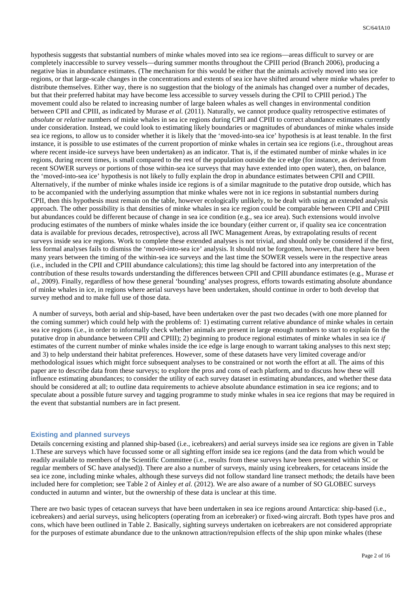hypothesis suggests that substantial numbers of minke whales moved into sea ice regions—areas difficult to survey or are completely inaccessible to survey vessels—during summer months throughout the CPIII period (Branch 2006), producing a negative bias in abundance estimates. (The mechanism for this would be either that the animals actively moved into sea ice regions, or that large-scale changes in the concentrations and extents of sea ice have shifted around where minke whales prefer to distribute themselves. Either way, there is no suggestion that the biology of the animals has changed over a number of decades, but that their preferred habitat may have become less accessible to survey vessels during the CPII to CPIII period.) The movement could also be related to increasing number of large baleen whales as well changes in environmental condition between CPII and CPIII, as indicated by Murase *et al.* (2011). Naturally, we cannot produce quality retrospective estimates of *absolute* or *relative* numbers of minke whales in sea ice regions during CPII and CPIII to correct abundance estimates currently under consideration. Instead, we could look to estimating likely boundaries or magnitudes of abundances of minke whales inside sea ice regions, to allow us to consider whether it is likely that the 'moved-into-sea ice' hypothesis is at least tenable. In the first instance, it is possible to use estimates of the current proportion of minke whales in certain sea ice regions (i.e., throughout areas where recent inside-ice surveys have been undertaken) as an indicator. That is, if the estimated number of minke whales in ice regions, during recent times, is small compared to the rest of the population outside the ice edge (for instance, as derived from recent SOWER surveys or portions of those within-sea ice surveys that may have extended into open water), then, on balance, the 'moved-into-sea ice' hypothesis is not likely to fully explain the drop in abundance estimates between CPII and CPIII. Alternatively, if the number of minke whales inside ice regions is of a similar magnitude to the putative drop outside, which has to be accompanied with the underlying assumption that minke whales were not in ice regions in substantial numbers during CPII, then this hypothesis must remain on the table, however ecologically unlikely, to be dealt with using an extended analysis approach. The other possibility is that densities of minke whales in sea ice region could be comparable between CPII and CPIII but abundances could be different because of change in sea ice condition (e.g., sea ice area). Such extensions would involve producing estimates of the numbers of minke whales inside the ice boundary (either current or, if quality sea ice concentration data is available for previous decades, retrospective), across all IWC Management Areas, by extrapolating results of recent surveys inside sea ice regions. Work to complete these extended analyses is not trivial, and should only be considered if the first, less formal analyses fails to dismiss the 'moved-into-sea ice' analysis. It should not be forgotten, however, that there have been many years between the timing of the within-sea ice surveys and the last time the SOWER vessels were in the respective areas (i.e., included in the CPII and CPIII abundance calculations); this time lag should be factored into any interpretation of the contribution of these results towards understanding the differences between CPII and CPIII abundance estimates (e.g., Murase *et al*., 2009). Finally, regardless of how these general 'bounding' analyses progress, efforts towards estimating absolute abundance of minke whales in ice, in regions where aerial surveys have been undertaken, should continue in order to both develop that survey method and to make full use of those data.

 A number of surveys, both aerial and ship-based, have been undertaken over the past two decades (with one more planned for the coming summer) which could help with the problems of: 1) estimating current relative abundance of minke whales in certain sea ice regions (i.e., in order to informally check whether animals are present in large enough numbers to start to explain 6n the putative drop in abundance between CPII and CPIII); 2) beginning to produce regional estimates of minke whales in sea ice *if* estimates of the current number of minke whales inside the ice edge is large enough to warrant taking analyses to this next step; and 3) to help understand their habitat preferences. However, some of these datasets have very limited coverage and/or methodological issues which might force subsequent analyses to be constrained or not worth the effort at all. The aims of this paper are to describe data from these surveys; to explore the pros and cons of each platform, and to discuss how these will influence estimating abundances; to consider the utility of each survey dataset in estimating abundances, and whether these data should be considered at all; to outline data requirements to achieve absolute abundance estimation in sea ice regions; and to speculate about a possible future survey and tagging programme to study minke whales in sea ice regions that may be required in the event that substantial numbers are in fact present.

#### **Existing and planned surveys**

Details concerning existing and planned ship-based (i.e., icebreakers) and aerial surveys inside sea ice regions are given in Table 1.These are surveys which have focussed some or all sighting effort inside sea ice regions (and the data from which would be readily available to members of the Scientific Committee (i.e., results from these surveys have been presented within SC or regular members of SC have analysed)). There are also a number of surveys, mainly using icebreakers, for cetaceans inside the sea ice zone, including minke whales, although these surveys did not follow standard line transect methods; the details have been included here for completion; see Table 2 of Ainley *et al.* (2012). We are also aware of a number of SO GLOBEC surveys conducted in autumn and winter, but the ownership of these data is unclear at this time.

There are two basic types of cetacean surveys that have been undertaken in sea ice regions around Antarctica: ship-based (i.e., icebreakers) and aerial surveys, using helicopters (operating from an icebreaker) or fixed-wing aircraft. Both types have pros and cons, which have been outlined in Table 2. Basically, sighting surveys undertaken on icebreakers are not considered appropriate for the purposes of estimate abundance due to the unknown attraction/repulsion effects of the ship upon minke whales (these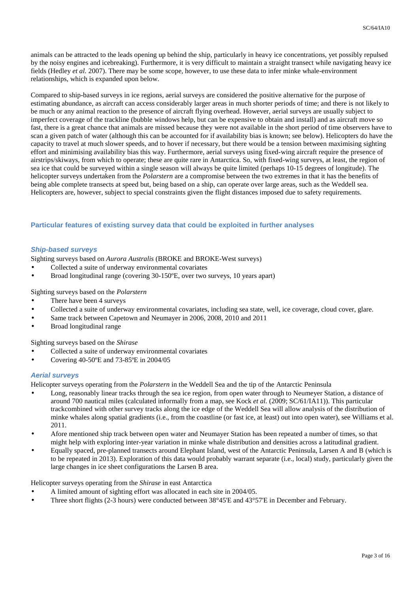animals can be attracted to the leads opening up behind the ship, particularly in heavy ice concentrations, yet possibly repulsed by the noisy engines and icebreaking). Furthermore, it is very difficult to maintain a straight transect while navigating heavy ice fields (Hedley *et al.* 2007). There may be some scope, however, to use these data to infer minke whale-environment relationships, which is expanded upon below.

Compared to ship-based surveys in ice regions, aerial surveys are considered the positive alternative for the purpose of estimating abundance, as aircraft can access considerably larger areas in much shorter periods of time; and there is not likely to be much or any animal reaction to the presence of aircraft flying overhead. However, aerial surveys are usually subject to imperfect coverage of the trackline (bubble windows help, but can be expensive to obtain and install) and as aircraft move so fast, there is a great chance that animals are missed because they were not available in the short period of time observers have to scan a given patch of water (although this can be accounted for if availability bias is known; see below). Helicopters do have the capacity to travel at much slower speeds, and to hover if necessary, but there would be a tension between maximising sighting effort and minimising availability bias this way. Furthermore, aerial surveys using fixed-wing aircraft require the presence of airstrips/skiways, from which to operate; these are quite rare in Antarctica. So, with fixed-wing surveys, at least, the region of sea ice that could be surveyed within a single season will always be quite limited (perhaps 10-15 degrees of longitude). The helicopter surveys undertaken from the *Polarstern* are a compromise between the two extremes in that it has the benefits of being able complete transects at speed but, being based on a ship, can operate over large areas, such as the Weddell sea. Helicopters are, however, subject to special constraints given the flight distances imposed due to safety requirements.

# **Particular features of existing survey data that could be exploited in further analyses**

### **Ship-based surveys**

Sighting surveys based on *Aurora Australis* (BROKE and BROKE-West surveys)

- Collected a suite of underway environmental covariates
- Broad longitudinal range (covering 30-150ºE, over two surveys, 10 years apart)

#### Sighting surveys based on the *Polarstern*

- There have been 4 surveys
- Collected a suite of underway environmental covariates, including sea state, well, ice coverage, cloud cover, glare.
- Same track between Capetown and Neumayer in 2006, 2008, 2010 and 2011
- Broad longitudinal range

Sighting surveys based on the *Shirase*

- Collected a suite of underway environmental covariates
- Covering 40-50ºE and 73-85ºE in 2004/05

#### **Aerial surveys**

Helicopter surveys operating from the *Polarstern* in the Weddell Sea and the tip of the Antarctic Peninsula

- Long, reasonably linear tracks through the sea ice region, from open water through to Neumeyer Station, a distance of around 700 nautical miles (calculated informally from a map, see Kock *et al.* (2009; SC/61/IA11)). This particular trackcombined with other survey tracks along the ice edge of the Weddell Sea will allow analysis of the distribution of minke whales along spatial gradients (i.e., from the coastline (or fast ice, at least) out into open water), see Williams et al. 2011.
- Afore mentioned ship track between open water and Neumayer Station has been repeated a number of times, so that might help with exploring inter-year variation in minke whale distribution and densities across a latitudinal gradient.
- Equally spaced, pre-planned transects around Elephant Island, west of the Antarctic Peninsula, Larsen A and B (which is to be repeated in 2013). Exploration of this data would probably warrant separate (i.e., local) study, particularly given the large changes in ice sheet configurations the Larsen B area.

Helicopter surveys operating from the *Shirase* in east Antarctica

- A limited amount of sighting effort was allocated in each site in 2004/05.
- Three short flights (2-3 hours) were conducted between 38°45'E and 43°57'E in December and February.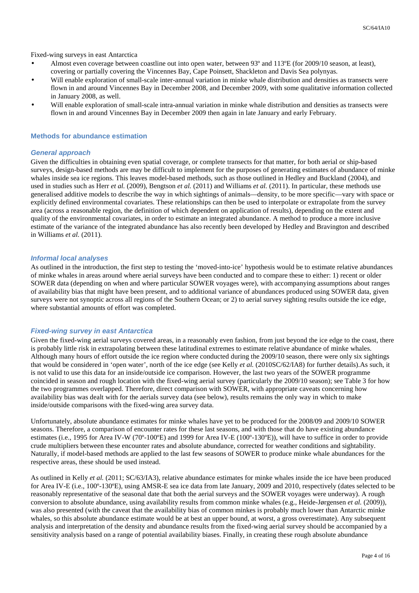Fixed-wing surveys in east Antarctica

- Almost even coverage between coastline out into open water, between 93º and 113ºE (for 2009/10 season, at least), covering or partially covering the Vincennes Bay, Cape Poinsett, Shackleton and Davis Sea polynyas.
- Will enable exploration of small-scale inter-annual variation in minke whale distribution and densities as transects were flown in and around Vincennes Bay in December 2008, and December 2009, with some qualitative information collected in January 2008, as well.
- Will enable exploration of small-scale intra-annual variation in minke whale distribution and densities as transects were flown in and around Vincennes Bay in December 2009 then again in late January and early February.

#### **Methods for abundance estimation**

#### **General approach**

Given the difficulties in obtaining even spatial coverage, or complete transects for that matter, for both aerial or ship-based surveys, design-based methods are may be difficult to implement for the purposes of generating estimates of abundance of minke whales inside sea ice regions. This leaves model-based methods, such as those outlined in Hedley and Buckland (2004), and used in studies such as Herr *et al.* (2009), Bengtson *et al.* (2011) and Williams *et al.* (2011). In particular, these methods use generalised additive models to describe the way in which sightings of animals—density, to be more specific—vary with space or explicitly defined environmental covariates. These relationships can then be used to interpolate or extrapolate from the survey area (across a reasonable region, the definition of which dependent on application of results), depending on the extent and quality of the environmental covariates, in order to estimate an integrated abundance. A method to produce a more inclusive estimate of the variance of the integrated abundance has also recently been developed by Hedley and Bravington and described in Williams *et al.* (2011).

#### **Informal local analyses**

As outlined in the introduction, the first step to testing the 'moved-into-ice' hypothesis would be to estimate relative abundances of minke whales in areas around where aerial surveys have been conducted and to compare these to either: 1) recent or older SOWER data (depending on when and where particular SOWER voyages were), with accompanying assumptions about ranges of availability bias that might have been present, and to additional variance of abundances produced using SOWER data, given surveys were not synoptic across all regions of the Southern Ocean; or 2) to aerial survey sighting results outside the ice edge, where substantial amounts of effort was completed.

#### **Fixed-wing survey in east Antarctica**

Given the fixed-wing aerial surveys covered areas, in a reasonably even fashion, from just beyond the ice edge to the coast, there is probably little risk in extrapolating between these latitudinal extremes to estimate relative abundance of minke whales. Although many hours of effort outside the ice region where conducted during the 2009/10 season, there were only six sightings that would be considered in 'open water', north of the ice edge (see Kelly *et al.* (2010SC/62/IA8) for further details).As such, it is not valid to use this data for an inside/outside ice comparison. However, the last two years of the SOWER programme coincided in season and rough location with the fixed-wing aerial survey (particularly the 2009/10 season); see Table 3 for how the two programmes overlapped. Therefore, direct comparison with SOWER, with appropriate caveats concerning how availability bias was dealt with for the aerials survey data (see below), results remains the only way in which to make inside/outside comparisons with the fixed-wing area survey data.

Unfortunately, absolute abundance estimates for minke whales have yet to be produced for the 2008/09 and 2009/10 SOWER seasons. Therefore, a comparison of encounter rates for these last seasons, and with those that do have existing abundance estimates (i.e., 1995 for Area IV-W (70º-100ºE) and 1999 for Area IV-E (100º-130ºE)), will have to suffice in order to provide crude multipliers between these encounter rates and absolute abundance, corrected for weather conditions and sightability. Naturally, if model-based methods are applied to the last few seasons of SOWER to produce minke whale abundances for the respective areas, these should be used instead.

As outlined in Kelly *et al.* (2011; SC/63/IA3), relative abundance estimates for minke whales inside the ice have been produced for Area IV-E (i.e., 100º-130ºE), using AMSR-E sea ice data from late January, 2009 and 2010, respectively (dates selected to be reasonably representative of the seasonal date that both the aerial surveys and the SOWER voyages were underway). A rough conversion to absolute abundance, using availability results from common minke whales (e.g., Heide-Jørgensen *et al.* (2009)), was also presented (with the caveat that the availability bias of common minkes is probably much lower than Antarctic minke whales, so this absolute abundance estimate would be at best an upper bound, at worst, a gross overestimate). Any subsequent analysis and interpretation of the density and abundance results from the fixed-wing aerial survey should be accompanied by a sensitivity analysis based on a range of potential availability biases. Finally, in creating these rough absolute abundance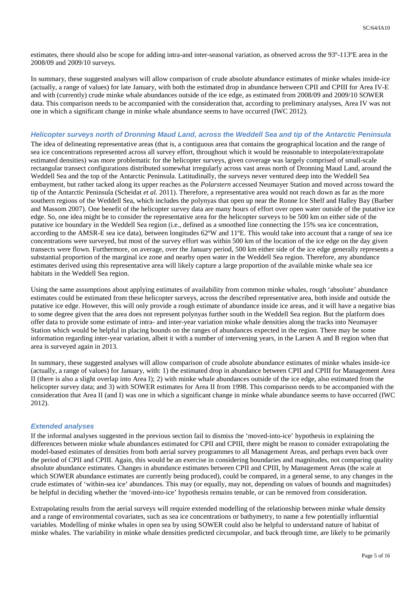estimates, there should also be scope for adding intra-and inter-seasonal variation, as observed across the 93º-113ºE area in the 2008/09 and 2009/10 surveys.

In summary, these suggested analyses will allow comparison of crude absolute abundance estimates of minke whales inside-ice (actually, a range of values) for late January, with both the estimated drop in abundance between CPII and CPIII for Area IV-E and with (currently) crude minke whale abundances outside of the ice edge, as estimated from 2008/09 and 2009/10 SOWER data. This comparison needs to be accompanied with the consideration that, according to preliminary analyses, Area IV was not one in which a significant change in minke whale abundance seems to have occurred (IWC 2012).

## **Helicopter surveys north of Dronning Maud Land, across the Weddell Sea and tip of the Antarctic Peninsula**

The idea of delineating representative areas (that is, a contiguous area that contains the geographical location and the range of sea ice concentrations represented across all survey effort, throughout which it would be reasonable to interpolate/extrapolate estimated densities) was more problematic for the helicopter surveys, given coverage was largely comprised of small-scale rectangular transect configurations distributed somewhat irregularly across vast areas north of Dronning Maud Land, around the Weddell Sea and the top of the Antarctic Peninsula. Latitudinally, the surveys never ventured deep into the Weddell Sea embayment, but rather tacked along its upper reaches as the *Polarstern* accessed Neumayer Station and moved across toward the tip of the Antarctic Peninsula (Scheidat *et al.* 2011). Therefore, a representative area would not reach down as far as the more southern regions of the Weddell Sea, which includes the polynyas that open up near the Ronne Ice Shelf and Halley Bay (Barber and Massom 2007). One benefit of the helicopter survey data are many hours of effort over open water outside of the putative ice edge. So, one idea might be to consider the representative area for the helicopter surveys to be 500 km on either side of the putative ice boundary in the Weddell Sea region (i.e., defined as a smoothed line connecting the 15% sea ice concentration, according to the AMSR-E sea ice data), between longitudes 62ºW and 11ºE. This would take into account that a range of sea ice concentrations were surveyed, but most of the survey effort was within 500 km of the location of the ice edge on the day given transects were flown. Furthermore, on average, over the January period, 500 km either side of the ice edge generally represents a substantial proportion of the marginal ice zone and nearby open water in the Weddell Sea region. Therefore, any abundance estimates derived using this representative area will likely capture a large proportion of the available minke whale sea ice habitats in the Weddell Sea region.

Using the same assumptions about applying estimates of availability from common minke whales, rough 'absolute' abundance estimates could be estimated from these helicopter surveys, across the described representative area, both inside and outside the putative ice edge. However, this will only provide a rough estimate of abundance inside ice areas, and it will have a negative bias to some degree given that the area does not represent polynyas further south in the Weddell Sea region. But the platform does offer data to provide some estimate of intra- and inter-year variation minke whale densities along the tracks into Neumayer Station which would be helpful in placing bounds on the ranges of abundances expected in the region. There may be some information regarding inter-year variation, albeit it with a number of intervening years, in the Larsen A and B region when that area is surveyed again in 2013.

In summary, these suggested analyses will allow comparison of crude absolute abundance estimates of minke whales inside-ice (actually, a range of values) for January, with: 1) the estimated drop in abundance between CPII and CPIII for Management Area II (there is also a slight overlap into Area I); 2) with minke whale abundances outside of the ice edge, also estimated from the helicopter survey data; and 3) with SOWER estimates for Area II from 1998. This comparison needs to be accompanied with the consideration that Area II (and I) was one in which a significant change in minke whale abundance seems to have occurred (IWC 2012).

#### **Extended analyses**

If the informal analyses suggested in the previous section fail to dismiss the 'moved-into-ice' hypothesis in explaining the differences between minke whale abundances estimated for CPII and CPIII, there might be reason to consider extrapolating the model-based estimates of densities from both aerial survey programmes to all Management Areas, and perhaps even back over the period of CPII and CPIII. Again, this would be an exercise in considering boundaries and magnitudes, not comparing quality absolute abundance estimates. Changes in abundance estimates between CPII and CPIII, by Management Areas (the scale at which SOWER abundance estimates are currently being produced), could be compared, in a general sense, to any changes in the crude estimates of 'within-sea ice' abundances. This may (or equally, may not, depending on values of bounds and magnitudes) be helpful in deciding whether the 'moved-into-ice' hypothesis remains tenable, or can be removed from consideration.

Extrapolating results from the aerial surveys will require extended modelling of the relationship between minke whale density and a range of environmental covariates, such as sea ice concentrations or bathymetry, to name a few potentially influential variables. Modelling of minke whales in open sea by using SOWER could also be helpful to understand nature of habitat of minke whales. The variability in minke whale densities predicted circumpolar, and back through time, are likely to be primarily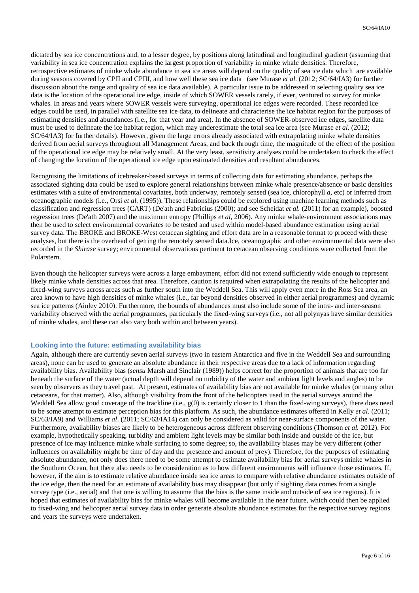dictated by sea ice concentrations and, to a lesser degree, by positions along latitudinal and longitudinal gradient (assuming that variability in sea ice concentration explains the largest proportion of variability in minke whale densities. Therefore, retrospective estimates of minke whale abundance in sea ice areas will depend on the quality of sea ice data which are available during seasons covered by CPII and CPIII, and how well these sea ice data (see Murase *et al*. (2012; SC/64/IA3) for further discussion about the range and quality of sea ice data available). A particular issue to be addressed in selecting quality sea ice data is the location of the operational ice edge, inside of which SOWER vessels rarely, if ever, ventured to survey for minke whales. In areas and years where SOWER vessels were surveying, operational ice edges were recorded. These recorded ice edges could be used, in parallel with satellite sea ice data, to delineate and characterise the ice habitat region for the purposes of estimating densities and abundances (i.e., for that year and area). In the absence of SOWER-observed ice edges, satellite data must be used to delineate the ice habitat region, which may underestimate the total sea ice area (see Murase *et al*. (2012; SC/64/IA3) for further details). However, given the large errors already associated with extrapolating minke whale densities derived from aerial surveys throughout all Management Areas, and back through time, the magnitude of the effect of the position of the operational ice edge may be relatively small. At the very least, sensitivity analyses could be undertaken to check the effect of changing the location of the operational ice edge upon estimated densities and resultant abundances.

Recognising the limitations of icebreaker-based surveys in terms of collecting data for estimating abundance, perhaps the associated sighting data could be used to explore general relationships between minke whale presence/absence or basic densities estimates with a suite of environmental covariates, both underway, remotely sensed (sea ice, chlorophyll *a*, etc) or inferred from oceanographic models (i.e., Orsi *et al.* (1995)). These relationships could be explored using machine learning methods such as classification and regression trees (CART) (De'ath and Fabricius (2000); and see Scheidat *et al.* (2011) for an example), boosted regression trees (De'ath 2007) and the maximum entropy (Phillips *et al,* 2006). Any minke whale-environment associations may then be used to select environmental covariates to be tested and used within model-based abundance estimation using aerial survey data. The BROKE and BROKE-West cetacean sighting and effort data are in a reasonable format to proceed with these analyses, but there is the overhead of getting the remotely sensed data.Ice, oceanographic and other environmental data were also recorded in the *Shirase* survey; environmental observations pertinent to cetacean observing conditions were collected from the Polarstern.

Even though the helicopter surveys were across a large embayment, effort did not extend sufficiently wide enough to represent likely minke whale densities across that area. Therefore, caution is required when extrapolating the results of the helicopter and fixed-wing surveys across areas such as further south into the Weddell Sea. This will apply even more in the Ross Sea area, an area known to have high densities of minke whales (i.e., far beyond densities observed in either aerial programmes) and dynamic sea ice patterns (Ainley 2010). Furthermore, the bounds of abundances must also include some of the intra- and inter-season variability observed with the aerial programmes, particularly the fixed-wing surveys (i.e., not all polynyas have similar densities of minke whales, and these can also vary both within and between years).

#### **Looking into the future: estimating availability bias**

Again, although there are currently seven aerial surveys (two in eastern Antarctica and five in the Weddell Sea and surrounding areas), none can be used to generate an absolute abundance in their respective areas due to a lack of information regarding availability bias. Availability bias (*sensu* Marsh and Sinclair (1989)) helps correct for the proportion of animals that are too far beneath the surface of the water (actual depth will depend on turbidity of the water and ambient light levels and angles) to be seen by observers as they travel past. At present, estimates of availability bias are not available for minke whales (or many other cetaceans, for that matter). Also, although visibility from the front of the helicopters used in the aerial surveys around the Weddell Sea allow good coverage of the trackline (i.e.,  $g(0)$  is certainly closer to 1 than the fixed-wing surveys), there does need to be some attempt to estimate perception bias for this platform. As such, the abundance estimates offered in Kelly *et al*. (2011; SC/63/IA9) and Williams *et al*. (2011; SC/63/IA14) can only be considered as valid for near-surface components of the water. Furthermore, availability biases are likely to be heterogeneous across different observing conditions (Thomson *et al.* 2012). For example, hypothetically speaking, turbidity and ambient light levels may be similar both inside and outside of the ice, but presence of ice may influence minke whale surfacing to some degree; so, the availability biases may be very different (other influences on availability might be time of day and the presence and amount of prey). Therefore, for the purposes of estimating absolute abundance, not only does there need to be some attempt to estimate availability bias for aerial surveys minke whales in the Southern Ocean, but there also needs to be consideration as to how different environments will influence those estimates. If, however, if the aim is to estimate relative abundance inside sea ice areas to compare with relative abundance estimates outside of the ice edge, then the need for an estimate of availability bias may disappear (but only if sighting data comes from a single survey type (i.e., aerial) and that one is willing to assume that the bias is the same inside and outside of sea ice regions). It is hoped that estimates of availability bias for minke whales will become available in the near future, which could then be applied to fixed-wing and helicopter aerial survey data in order generate absolute abundance estimates for the respective survey regions and years the surveys were undertaken.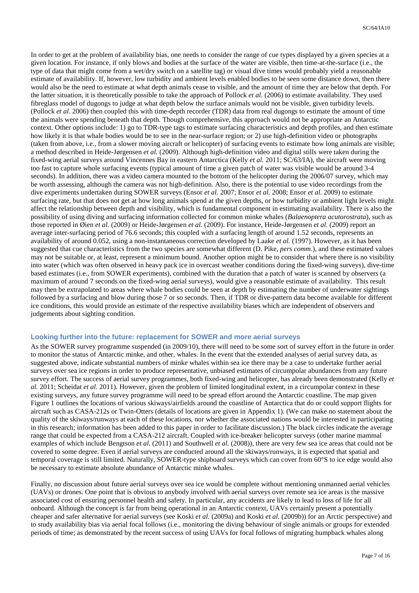In order to get at the problem of availability bias, one needs to consider the range of cue types displayed by a given species at a given location. For instance, if only blows and bodies at the surface of the water are visible, then time-at-the-surface (i.e., the type of data that might come from a wet/dry switch on a satellite tag) or visual dive times would probably yield a reasonable estimate of availability. If, however, low turbidity and ambient levels enabled bodies to be seen some distance down, then there would also be the need to estimate at what depth animals cease to visible, and the amount of time they are below that depth. For the latter situation, it is theoretically possible to take the approach of Pollock *et al.* (2006) to estimate availability. They used fibreglass model of dugongs to judge at what depth below the surface animals would not be visible, given turbidity levels. (Pollock *et al.* 2006) then coupled this with time-depth recorder (TDR) data from real dugongs to estimate the amount of time the animals were spending beneath that depth. Though comprehensive, this approach would not be appropriate an Antarctic context. Other options include: 1) go to TDR-type tags to estimate surfacing characteristics and depth profiles, and then estimate how likely it is that whale bodies would be to see in the near-surface region; or 2) use high-definition video or photographs (taken from above, i.e., from a slower moving aircraft or helicopter) of surfacing events to estimate how long animals are visible; a method described in Heide-Jørgensen *et al.* (2009). Although high-definition video and digital stills were taken during the fixed-wing aerial surveys around Vincennes Bay in eastern Antarctica (Kelly *et al.* 2011; SC/63/IA), the aircraft were moving too fast to capture whole surfacing events (typical amount of time a given patch of water was visible would be around 3-4 seconds). In addition, there was a video camera mounted to the bottom of the helicopter during the 2006/07 survey, which may be worth assessing, although the camera was not high-definition. Also, there is the potential to use video recordings from the dive experiments undertaken during SOWER surveys (Ensor *et al.* 2007; Ensor *et al.* 2008; Ensor *et al.* 2009) to estimate surfacing rate, but that does not get at how long animals spend at the given depths, or how turbidity or ambient light levels might affect the relationship between depth and visibility, which is fundamental component in estimating availability. There is also the possibility of using diving and surfacing information collected for common minke whales (*Balaenoptera acutorostrata*), such as those reported in Øien *et al.* (2009) or Heide-Jørgensen *et al.* (2009). For instance, Heide-Jørgensen *et al.* (2009) report an average inter-surfacing period of 76.6 seconds; this coupled with a surfacing length of around 1.52 seconds, represents an availability of around 0.052, using a non-instantaneous correction developed by Laake *et al.* (1997). However, as it has been suggested that cue characteristics from the two species are somewhat different (D. Pike, *pers comm*.), and these estimated values may not be suitable or, at least, represent a minimum bound. Another option might be to consider that where there is no visibility into water (which was often observed in heavy pack ice in overcast weather conditions during the fixed-wing surveys), dive-time based estimates (i.e., from SOWER experiments), combined with the duration that a patch of water is scanned by observers (a maximum of around 7 seconds on the fixed-wing aerial surveys), would give a reasonable estimate of availability. This result may then be extrapolated to areas where whale bodies could be seen at depth by estimating the number of underwater sightings followed by a surfacing and blow during those 7 or so seconds. Then, if TDR or dive-pattern data become available for different ice conditions, this would provide an estimate of the respective availability biases which are independent of observers and judgements about sighting condition.

#### **Looking further into the future: replacement for SOWER and more aerial surveys**

As the SOWER survey programme suspended (in 2009/10), there will need to be some sort of survey effort in the future in order to monitor the status of Antarctic minke, and other, whales. In the event that the extended analyses of aerial survey data, as suggested above, indicate substantial numbers of minke whales within sea ice there may be a case to undertake further aerial surveys over sea ice regions in order to produce representative, unbiased estimates of circumpolar abundances from any future survey effort. The success of aerial survey programmes, both fixed-wing and helicopter, has already been demonstrated (Kelly *et al.* 2011; Scheidat *et al.* 2011). However, given the problem of limited longitudinal extent, in a circumpolar context in these existing surveys, any future survey programme will need to be spread effort around the Antarctic coastline. The map given Figure 1 outlines the locations of various skiways/airfields around the coastline of Antarctica that do or could support flights for aircraft such as CASA-212s or Twin-Otters (details of locations are given in Appendix 1). (We can make no statement about the quality of the skiways/runways at each of these locations, nor whether the associated nations would be interested in participating in this research; information has been added to this paper in order to facilitate discussion.) The black circles indicate the average range that could be expected from a CASA-212 aircraft. Coupled with ice-breaker helicopter surveys (other marine mammal examples of which include Bengtson *et al.* (2011) and Southwell *et al.* (2008)), there are very few sea ice areas that could not be covered to some degree. Even if aerial surveys are conducted around all the skiways/runways, it is expected that spatial and temporal coverage is still limited. Naturally, SOWER-type shipboard surveys which can cover from 60°S to ice edge would also be necessary to estimate absolute abundance of Antarctic minke whales.

Finally, no discussion about future aerial surveys over sea ice would be complete without mentioning unmanned aerial vehicles (UAVs) or drones. One point that is obvious to anybody involved with aerial surveys over remote sea ice areas is the massive associated cost of ensuring personnel health and safety. In particular, any accidents are likely to lead to loss of life for all onboard. Although the concept is far from being operational in an Antarctic context, UAVs certainly present a potentially cheaper and safer alternative for aerial surveys (see Koski *et al.* (2009a) and Koski *et al.* (2009b)) for an Arctic perspective) and to study availability bias via aerial focal follows (i.e., monitoring the diving behaviour of single animals or groups for extended periods of time; as demonstrated by the recent success of using UAVs for focal follows of migrating humpback whales along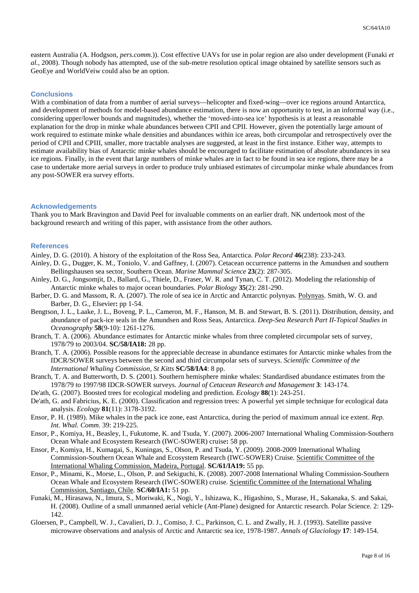eastern Australia (A. Hodgson, *pers.comm*.)). Cost effective UAVs for use in polar region are also under development (Funaki *et al.*, 2008). Though nobody has attempted, use of the sub-metre resolution optical image obtained by satellite sensors such as GeoEye and WorldVeiw could also be an option.

#### **Conclusions**

With a combination of data from a number of aerial surveys—helicopter and fixed-wing—over ice regions around Antarctica, and development of methods for model-based abundance estimation, there is now an opportunity to test, in an informal way (i.e., considering upper/lower bounds and magnitudes), whether the 'moved-into-sea ice' hypothesis is at least a reasonable explanation for the drop in minke whale abundances between CPII and CPII. However, given the potentially large amount of work required to estimate minke whale densities and abundances within ice areas, both circumpolar and retrospectively over the period of CPII and CPIII, smaller, more tractable analyses are suggested, at least in the first instance. Either way, attempts to estimate availability bias of Antarctic minke whales should be encouraged to facilitate estimation of absolute abundances in sea ice regions. Finally, in the event that large numbers of minke whales are in fact to be found in sea ice regions, there may be a case to undertake more aerial surveys in order to produce truly unbiased estimates of circumpolar minke whale abundances from any post-SOWER era survey efforts.

#### **Acknowledgements**

Thank you to Mark Bravington and David Peel for invaluable comments on an earlier draft. NK undertook most of the background research and writing of this paper, with assistance from the other authors.

#### **References**

- Ainley, D. G. (2010). A history of the exploitation of the Ross Sea, Antarctica. *Polar Record* **46**(238): 233-243.
- Ainley, D. G., Dugger, K. M., Toniolo, V. and Gaffney, I. (2007). Cetacean occurrence patterns in the Amundsen and southern Bellingshausen sea sector, Southern Ocean. *Marine Mammal Science* **23**(2): 287-305.
- Ainley, D. G., Jongsomjit, D., Ballard, G., Thiele, D., Fraser, W. R. and Tynan, C. T. (2012). Modeling the relationship of Antarctic minke whales to major ocean boundaries. *Polar Biology* **35**(2): 281-290.
- Barber, D. G. and Massom, R. A. (2007). The role of sea ice in Arctic and Antarctic polynyas. Polynyas. Smith, W. O. and Barber, D. G., Elsevier**:** pp 1-54.
- Bengtson, J. L., Laake, J. L., Boveng, P. L., Cameron, M. F., Hanson, M. B. and Stewart, B. S. (2011). Distribution, density, and abundance of pack-ice seals in the Amundsen and Ross Seas, Antarctica. *Deep-Sea Research Part II-Topical Studies in Oceanography* **58**(9-10): 1261-1276.
- Branch, T. A. (2006). Abundance estimates for Antarctic minke whales from three completed circumpolar sets of survey, 1978/79 to 2003/04. **SC/58/IA18:** 28 pp.
- Branch, T. A. (2006). Possible reasons for the appreciable decrease in abundance estimates for Antarctic minke whales from the IDCR/SOWER surveys between the second and third circumpolar sets of surveys. *Scientific Committee of the International Whaling Commission, St Kitts* **SC/58/IA4**: 8 pp.
- Branch, T. A. and Butterworth, D. S. (2001). Southern hemisphere minke whales: Standardised abundance estimates from the 1978/79 to 1997/98 IDCR-SOWER surveys. *Journal of Cetacean Research and Management* **3**: 143-174.
- De'ath, G. (2007). Boosted trees for ecological modeling and prediction. *Ecology* **88**(1): 243-251.
- De'ath, G. and Fabricius, K. E. (2000). Classification and regression trees: A powerful yet simple technique for ecological data analysis. *Ecology* **81**(11): 3178-3192.
- Ensor, P. H. (1989). Mike whales in the pack ice zone, east Antarctica, during the period of maximum annual ice extent. *Rep. Int. Whal. Comm.* 39: 219-225.
- Ensor, P., Komiya, H., Beasley, I., Fukutome, K. and Tsuda, Y. (2007). 2006-2007 International Whaling Commission-Southern Ocean Whale and Ecosystem Research (IWC-SOWER) cruise**:** 58 pp.
- Ensor, P., Komiya, H., Kumagai, S., Kuningas, S., Olson, P. and Tsuda, Y. (2009). 2008-2009 International Whaling Commission-Southern Ocean Whale and Ecosystem Research (IWC-SOWER) Cruise. Scientific Committee of the International Whaling Commission, Madeira, Portugal. **SC/61/IA19:** 55 pp.
- Ensor, P., Minami, K., Morse, L., Olson, P. and Sekiguchi, K. (2008). 2007-2008 International Whaling Commission-Southern Ocean Whale and Ecosystem Research (IWC-SOWER) cruise. Scientific Committee of the International Whaling Commission, Santiago, Chile. **SC/60/IA1:** 51 pp.
- Funaki, M., Hirasawa, N., Imura, S., Moriwaki, K., Nogi, Y., Ishizawa, K., Higashino, S., Murase, H., Sakanaka, S. and Sakai, H. (2008). Outline of a small unmanned aerial vehicle (Ant-Plane) designed for Antarctic research. Polar Science. 2: 129- 142.
- Gloersen, P., Campbell, W. J., Cavalieri, D. J., Comiso, J. C., Parkinson, C. L. and Zwally, H. J. (1993). Satellite passive microwave observations and analysis of Arctic and Antarctic sea ice, 1978-1987. *Annals of Glaciology* **17**: 149-154.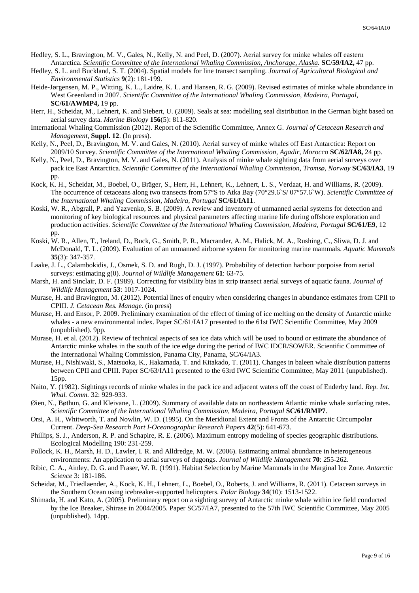- Hedley, S. L., Bravington, M. V., Gales, N., Kelly, N. and Peel, D. (2007). Aerial survey for minke whales off eastern Antarctica. *Scientific Committee of the International Whaling Commission, Anchorage, Alaska.* **SC/59/IA2,** 47 pp.
- Hedley, S. L. and Buckland, S. T. (2004). Spatial models for line transect sampling. *Journal of Agricultural Biological and Environmental Statistics* **9**(2): 181-199.
- Heide-Jørgensen, M. P., Witting, K. L., Laidre, K. L. and Hansen, R. G. (2009). Revised estimates of minke whale abundance in West Greenland in 2007. *Scientific Committee of the International Whaling Commission, Madeira, Portugal,* **SC/61/AWMP4,** 19 pp.
- Herr, H., Scheidat, M., Lehnert, K. and Siebert, U. (2009). Seals at sea: modelling seal distribution in the German bight based on aerial survey data. *Marine Biology* **156**(5): 811-820.
- International Whaling Commission (2012). Report of the Scientific Committee, Annex G. *Journal of Cetacean Research and Management*, **Suppl. 12**. (In press).
- Kelly, N., Peel, D., Bravington, M. V. and Gales, N. (2010). Aerial survey of minke whales off East Antarctica: Report on 2009/10 Survey. *Scientific Committee of the International Whaling Commission, Agadir, Morocco* **SC/62/IA8,** 24 pp.
- Kelly, N., Peel, D., Bravington, M. V. and Gales, N. (2011). Analysis of minke whale sighting data from aerial surveys over pack ice East Antarctica. *Scientific Committee of the International Whaling Commission, Tromsø, Norway* **SC/63/IA3**, 19 pp.
- Kock, K. H., Scheidat, M., Boebel, O., Bräger, S., Herr, H., Lehnert, K., Lehnert, L. S., Verdaat, H. and Williams, R. (2009). The occurrence of cetaceans along two transects from 57°S to Atka Bay (70°29.6`S/ 07°57.6`W). *Scientific Committee of the International Whaling Commission, Madeira, Portugal* **SC/61/IA11**.
- Koski, W. R., Abgrall, P. and Yazvenko, S. B. (2009). A review and inventory of unmanned aerial systems for detection and monitoring of key biological resources and physical parameters affecting marine life during offshore exploration and production activities. *Scientific Committee of the International Whaling Commission, Madeira, Portugal* **SC/61/E9**, 12 pp.
- Koski, W. R., Allen, T., Ireland, D., Buck, G., Smith, P. R., Macrander, A. M., Halick, M. A., Rushing, C., Sliwa, D. J. and McDonald, T. L. (2009). Evaluation of an unmanned airborne system for monitoring marine mammals. *Aquatic Mammals* **35**(3): 347-357.
- Laake, J. L., Calambokidis, J., Osmek, S. D. and Rugh, D. J. (1997). Probability of detection harbour porpoise from aerial surveys: estimating g(0). *Journal of Wildlife Management* **61**: 63-75.
- Marsh, H. and Sinclair, D. F. (1989). Correcting for visibility bias in strip transect aerial surveys of aquatic fauna. *Journal of Wildlife Management* **53**: 1017-1024.
- Murase, H. and Bravington, M. (2012). Potential lines of enquiry when considering changes in abundance estimates from CPII to CPIII. *J. Cetacean Res. Manage.* (in press)
- Murase, H. and Ensor, P. 2009. Preliminary examination of the effect of timing of ice melting on the density of Antarctic minke whales - a new environmental index. Paper SC/61/IA17 presented to the 61st IWC Scientific Committee, May 2009 (unpublished). 9pp.
- Murase, H. et al. (2012). Review of technical aspects of sea ice data which will be used to bound or estimate the abundance of Antarctic minke whales in the south of the ice edge during the period of IWC IDCR/SOWER. Scientific Committee of the International Whaling Commission, Panama City, Panama, SC/64/IA3.
- Murase, H., Nishiwaki, S., Matsuoka, K., Hakamada, T. and Kitakado, T. (2011). Changes in baleen whale distribution patterns between CPII and CPIII. Paper SC/63/IA11 presented to the 63rd IWC Scientific Committee, May 2011 (unpublished). 15pp.
- Naito, Y. (1982). Sightings records of minke whales in the pack ice and adjacent waters off the coast of Enderby land. *Rep. Int. Whal. Comm.* 32: 929-933.
- Øien, N., Bøthun, G. and Kleivane, L. (2009). Summary of available data on northeastern Atlantic minke whale surfacing rates. *Scientific Committee of the International Whaling Commission, Madeira, Portugal* **SC/61/RMP7**.
- Orsi, A. H., Whitworth, T. and Nowlin, W. D. (1995). On the Meridional Extent and Fronts of the Antarctic Circumpolar Current. *Deep-Sea Research Part I-Oceanographic Research Papers* **42**(5): 641-673.
- Phillips, S. J., Anderson, R. P. and Schapire, R. E. (2006). Maximum entropy modeling of species geographic distributions. Ecological Modelling 190: 231-259.
- Pollock, K. H., Marsh, H. D., Lawler, I. R. and Alldredge, M. W. (2006). Estimating animal abundance in heterogeneous environments: An application to aerial surveys of dugongs. *Journal of Wildlife Management* **70**: 255-262.
- Ribic, C. A., Ainley, D. G. and Fraser, W. R. (1991). Habitat Selection by Marine Mammals in the Marginal Ice Zone. *Antarctic Science* 3: 181-186.
- Scheidat, M., Friedlaender, A., Kock, K. H., Lehnert, L., Boebel, O., Roberts, J. and Williams, R. (2011). Cetacean surveys in the Southern Ocean using icebreaker-supported helicopters. *Polar Biology* **34**(10): 1513-1522.
- Shimada, H. and Kato, A. (2005). Preliminary report on a sighting survey of Antarctic minke whale within ice field conducted by the Ice Breaker, Shirase in 2004/2005. Paper SC/57/IA7, presented to the 57th IWC Scientific Committee, May 2005 (unpublished). 14pp.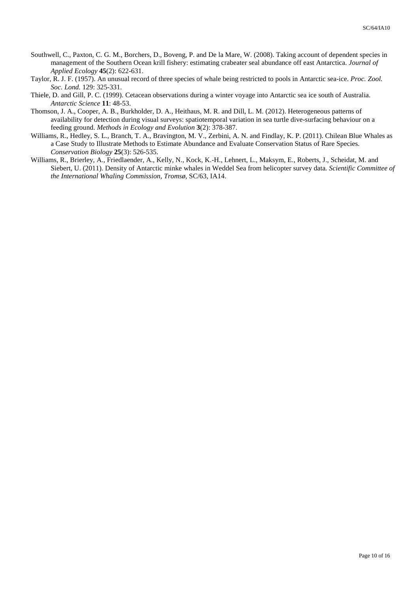- Southwell, C., Paxton, C. G. M., Borchers, D., Boveng, P. and De la Mare, W. (2008). Taking account of dependent species in management of the Southern Ocean krill fishery: estimating crabeater seal abundance off east Antarctica. *Journal of Applied Ecology* **45**(2): 622-631.
- Taylor, R. J. F. (1957). An unusual record of three species of whale being restricted to pools in Antarctic sea-ice. *Proc. Zool. Soc. Lond.* 129: 325-331.
- Thiele, D. and Gill, P. C. (1999). Cetacean observations during a winter voyage into Antarctic sea ice south of Australia. *Antarctic Science* **11**: 48-53.
- Thomson, J. A., Cooper, A. B., Burkholder, D. A., Heithaus, M. R. and Dill, L. M. (2012). Heterogeneous patterns of availability for detection during visual surveys: spatiotemporal variation in sea turtle dive-surfacing behaviour on a feeding ground. *Methods in Ecology and Evolution* **3**(2): 378-387.
- Williams, R., Hedley, S. L., Branch, T. A., Bravington, M. V., Zerbini, A. N. and Findlay, K. P. (2011). Chilean Blue Whales as a Case Study to Illustrate Methods to Estimate Abundance and Evaluate Conservation Status of Rare Species. *Conservation Biology* **25**(3): 526-535.
- Williams, R., Brierley, A., Friedlaender, A., Kelly, N., Kock, K.-H., Lehnert, L., Maksym, E., Roberts, J., Scheidat, M. and Siebert, U. (2011). Density of Antarctic minke whales in Weddel Sea from helicopter survey data*. Scientific Committee of the International Whaling Commission, Tromsø*, SC/63, IA14.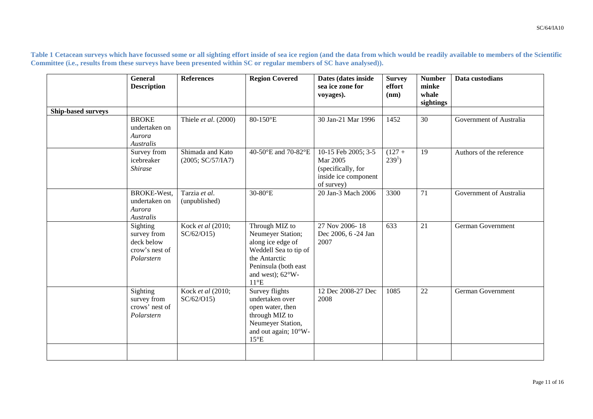**Table 1 Cetacean surveys which have focussed some or all sighting effort inside of sea ice region (and the data from which would be readily available to members of the Scientific Committee (i.e., results from these surveys have been presented within SC or regular members of SC have analysed)).** 

|                    | General<br><b>Description</b>                                         | <b>References</b>                     | <b>Region Covered</b>                                                                                                                                                     | Dates (dates inside<br>sea ice zone for<br>voyages).                                        | <b>Survey</b><br>effort<br>(nm) | <b>Number</b><br>minke<br>whale<br>sightings | Data custodians          |
|--------------------|-----------------------------------------------------------------------|---------------------------------------|---------------------------------------------------------------------------------------------------------------------------------------------------------------------------|---------------------------------------------------------------------------------------------|---------------------------------|----------------------------------------------|--------------------------|
| Ship-based surveys |                                                                       |                                       |                                                                                                                                                                           |                                                                                             |                                 |                                              |                          |
|                    | <b>BROKE</b><br>undertaken on<br>Aurora<br>Australis                  | Thiele et al. (2000)                  | 80-150°E                                                                                                                                                                  | 30 Jan-21 Mar 1996                                                                          | 1452                            | 30                                           | Government of Australia  |
|                    | Survey from<br>icebreaker<br><b>Shirase</b>                           | Shimada and Kato<br>(2005; SC/57/IA7) | 40-50°E and 70-82°E                                                                                                                                                       | 10-15 Feb 2005; 3-5<br>Mar 2005<br>(specifically, for<br>inside ice component<br>of survey) | $(127 +$<br>$2391$ )            | 19                                           | Authors of the reference |
|                    | BROKE-West,<br>undertaken on<br>Aurora<br>Australis                   | Tarzia et al.<br>(unpublished)        | 30-80°E                                                                                                                                                                   | 20 Jan-3 Mach 2006                                                                          | 3300                            | 71                                           | Government of Australia  |
|                    | Sighting<br>survey from<br>deck below<br>crow's nest of<br>Polarstern | Kock et al (2010;<br>SC/62/015        | Through MIZ to<br>Neumeyer Station;<br>along ice edge of<br>Weddell Sea to tip of<br>the Antarctic<br>Peninsula (both east<br>and west); $62^{\circ}$ W-<br>$11^{\circ}E$ | 27 Nov 2006-18<br>Dec 2006, 6 -24 Jan<br>2007                                               | 633                             | $\overline{21}$                              | German Government        |
|                    | Sighting<br>survey from<br>crows' nest of<br>Polarstern               | Kock et al (2010;<br>SC/62/015        | Survey flights<br>undertaken over<br>open water, then<br>through MIZ to<br>Neumeyer Station,<br>and out again; 10°W-<br>$15^{\circ}E$                                     | 12 Dec 2008-27 Dec<br>2008                                                                  | 1085                            | 22                                           | <b>German Government</b> |
|                    |                                                                       |                                       |                                                                                                                                                                           |                                                                                             |                                 |                                              |                          |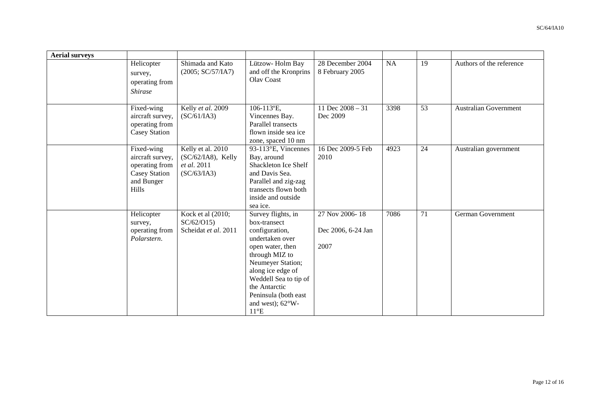| <b>Aerial surveys</b> |                                                                                                        |                                                                          |                                                                                                                                                                                                                                                                          |                                              |           |                 |                              |
|-----------------------|--------------------------------------------------------------------------------------------------------|--------------------------------------------------------------------------|--------------------------------------------------------------------------------------------------------------------------------------------------------------------------------------------------------------------------------------------------------------------------|----------------------------------------------|-----------|-----------------|------------------------------|
|                       | Helicopter<br>survey,<br>operating from<br><i><b>Shirase</b></i>                                       | Shimada and Kato<br>(2005; SC/57/IA7)                                    | Lützow- Holm Bay<br>and off the Kronprins<br>Olav Coast                                                                                                                                                                                                                  | 28 December 2004<br>8 February 2005          | <b>NA</b> | 19              | Authors of the reference     |
|                       | Fixed-wing<br>aircraft survey,<br>operating from<br>Casey Station                                      | Kelly et al. 2009<br>(SC/61/IA3)                                         | 106-113°E,<br>Vincennes Bay.<br>Parallel transects<br>flown inside sea ice<br>zone, spaced 10 nm                                                                                                                                                                         | 11 Dec $2008 - 31$<br>Dec 2009               | 3398      | $\overline{53}$ | <b>Australian Government</b> |
|                       | Fixed-wing<br>aircraft survey,<br>operating from<br><b>Casey Station</b><br>and Bunger<br><b>Hills</b> | Kelly et al. 2010<br>$(SC/62/IA8)$ , Kelly<br>et al. 2011<br>(SC/63/IA3) | 93-113°E, Vincennes<br>Bay, around<br>Shackleton Ice Shelf<br>and Davis Sea.<br>Parallel and zig-zag<br>transects flown both<br>inside and outside<br>sea ice.                                                                                                           | 16 Dec 2009-5 Feb<br>2010                    | 4923      | 24              | Australian government        |
|                       | Helicopter<br>survey,<br>operating from<br>Polarstern.                                                 | Kock et al (2010;<br>SC/62/015<br>Scheidat et al. 2011                   | Survey flights, in<br>box-transect<br>configuration,<br>undertaken over<br>open water, then<br>through MIZ to<br>Neumeyer Station;<br>along ice edge of<br>Weddell Sea to tip of<br>the Antarctic<br>Peninsula (both east<br>and west); $62^{\circ}$ W-<br>$11^{\circ}E$ | 27 Nov 2006-18<br>Dec 2006, 6-24 Jan<br>2007 | 7086      | 71              | German Government            |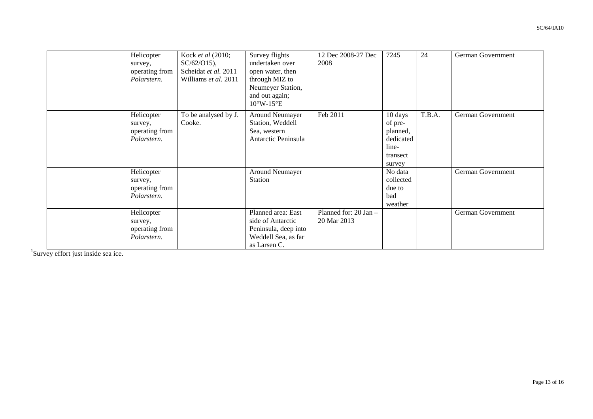| Helicopter<br>survey,<br>operating from<br>Polarstern. | Kock et al (2010;<br>$SC/62/015$ ,<br>Scheidat et al. 2011<br>Williams et al. 2011 | Survey flights<br>undertaken over<br>open water, then<br>through MIZ to<br>Neumeyer Station,<br>and out again;<br>$10^{\circ}$ W- $15^{\circ}$ E | 12 Dec 2008-27 Dec<br>2008           | 7245                                                                       | 24     | German Government |
|--------------------------------------------------------|------------------------------------------------------------------------------------|--------------------------------------------------------------------------------------------------------------------------------------------------|--------------------------------------|----------------------------------------------------------------------------|--------|-------------------|
| Helicopter<br>survey,<br>operating from<br>Polarstern. | To be analysed by J.<br>Cooke.                                                     | Around Neumayer<br>Station, Weddell<br>Sea, western<br>Antarctic Peninsula                                                                       | Feb 2011                             | 10 days<br>of pre-<br>planned,<br>dedicated<br>line-<br>transect<br>survey | T.B.A. | German Government |
| Helicopter<br>survey,<br>operating from<br>Polarstern. |                                                                                    | Around Neumayer<br><b>Station</b>                                                                                                                |                                      | No data<br>collected<br>due to<br>bad<br>weather                           |        | German Government |
| Helicopter<br>survey,<br>operating from<br>Polarstern. |                                                                                    | Planned area: East<br>side of Antarctic<br>Peninsula, deep into<br>Weddell Sea, as far<br>as Larsen C.                                           | Planned for: 20 Jan -<br>20 Mar 2013 |                                                                            |        | German Government |

<sup>1</sup>Survey effort just inside sea ice.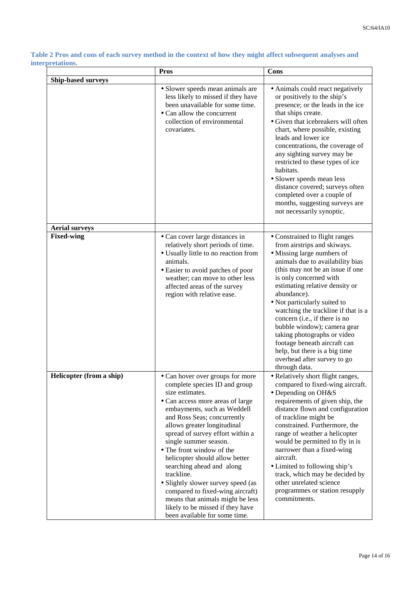|                           | <b>Pros</b>                                                                                                                                                                                                                                                                                                                                                                                                                                                                                                                                                                     | Cons                                                                                                                                                                                                                                                                                                                                                                                                                                                                                                                                  |
|---------------------------|---------------------------------------------------------------------------------------------------------------------------------------------------------------------------------------------------------------------------------------------------------------------------------------------------------------------------------------------------------------------------------------------------------------------------------------------------------------------------------------------------------------------------------------------------------------------------------|---------------------------------------------------------------------------------------------------------------------------------------------------------------------------------------------------------------------------------------------------------------------------------------------------------------------------------------------------------------------------------------------------------------------------------------------------------------------------------------------------------------------------------------|
| <b>Ship-based surveys</b> |                                                                                                                                                                                                                                                                                                                                                                                                                                                                                                                                                                                 |                                                                                                                                                                                                                                                                                                                                                                                                                                                                                                                                       |
|                           | • Slower speeds mean animals are<br>less likely to missed if they have<br>been unavailable for some time.<br>• Can allow the concurrent<br>collection of environmental<br>covariates.                                                                                                                                                                                                                                                                                                                                                                                           | • Animals could react negatively<br>or positively to the ship's<br>presence; or the leads in the ice<br>that ships create.<br>• Given that icebreakers will often<br>chart, where possible, existing<br>leads and lower ice<br>concentrations, the coverage of<br>any sighting survey may be<br>restricted to these types of ice<br>habitats.<br>• Slower speeds mean less<br>distance covered; surveys often<br>completed over a couple of<br>months, suggesting surveys are<br>not necessarily synoptic.                            |
| <b>Aerial surveys</b>     |                                                                                                                                                                                                                                                                                                                                                                                                                                                                                                                                                                                 |                                                                                                                                                                                                                                                                                                                                                                                                                                                                                                                                       |
| <b>Fixed-wing</b>         | • Can cover large distances in<br>relatively short periods of time.<br>• Usually little to no reaction from<br>animals.<br>• Easier to avoid patches of poor<br>weather; can move to other less<br>affected areas of the survey<br>region with relative ease.                                                                                                                                                                                                                                                                                                                   | • Constrained to flight ranges<br>from airstrips and skiways.<br>• Missing large numbers of<br>animals due to availability bias<br>(this may not be an issue if one<br>is only concerned with<br>estimating relative density or<br>abundance).<br>• Not particularly suited to<br>watching the trackline if that is a<br>concern (i.e., if there is no<br>bubble window); camera gear<br>taking photographs or video<br>footage beneath aircraft can<br>help, but there is a big time<br>overhead after survey to go<br>through data. |
| Helicopter (from a ship)  | • Can hover over groups for more<br>complete species ID and group<br>size estimates.<br>• Can access more areas of large<br>embayments, such as Weddell<br>and Ross Seas; concurrently<br>allows greater longitudinal<br>spread of survey effort within a<br>single summer season.<br>• The front window of the<br>helicopter should allow better<br>searching ahead and along<br>trackline.<br>• Slightly slower survey speed (as<br>compared to fixed-wing aircraft)<br>means that animals might be less<br>likely to be missed if they have<br>been available for some time. | · Relatively short flight ranges,<br>compared to fixed-wing aircraft.<br>• Depending on OH&S<br>requirements of given ship, the<br>distance flown and configuration<br>of trackline might be<br>constrained. Furthermore, the<br>range of weather a helicopter<br>would be permitted to fly in is<br>narrower than a fixed-wing<br>aircraft.<br>• Limited to following ship's<br>track, which may be decided by<br>other unrelated science<br>programmes or station resupply<br>commitments.                                          |

**Table 2 Pros and cons of each survey method in the context of how they might affect subsequent analyses and interpretations.**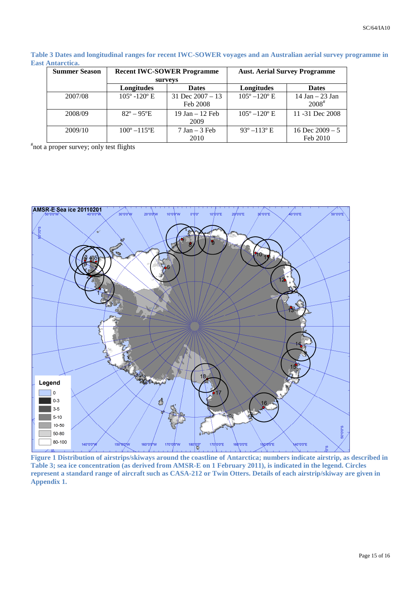**Table 3 Dates and longitudinal ranges for recent IWC-SOWER voyages and an Australian aerial survey programme in East Antarctica.** 

| <b>Summer Season</b> | <b>Recent IWC-SOWER Programme</b> |                                | <b>Aust. Aerial Survey Programme</b> |                                    |  |
|----------------------|-----------------------------------|--------------------------------|--------------------------------------|------------------------------------|--|
|                      |                                   | surveys                        |                                      |                                    |  |
|                      | Longitudes<br><b>Dates</b>        |                                | Longitudes                           | <b>Dates</b>                       |  |
| 2007/08              | $105^{\circ} - 120^{\circ}$ E     | 31 Dec $2007 - 13$<br>Feb 2008 | $105^{\circ} - 120^{\circ}$ E        | $14$ Jan $-$ 23 Jan<br>$2008^{\#}$ |  |
| 2008/09              | $82^{\circ} - 95^{\circ}E$        | $19$ Jan $-12$ Feb<br>2009     | $105^{\circ} - 120^{\circ}$ E        | 11 -31 Dec 2008                    |  |
| 2009/10              | $100^{\circ} - 115^{\circ}E$      | $7$ Jan $-$ 3 Feb<br>2010      | $93^{\circ} - 113^{\circ}$ E         | 16 Dec $2009 - 5$<br>Feb 2010      |  |

# not a proper survey; only test flights



**Figure 1 Distribution of airstrips/skiways around the coastline of Antarctica; numbers indicate airstrip, as described in Table 3; sea ice concentration (as derived from AMSR-E on 1 February 2011), is indicated in the legend. Circles represent a standard range of aircraft such as CASA-212 or Twin Otters. Details of each airstrip/skiway are given in Appendix 1.**